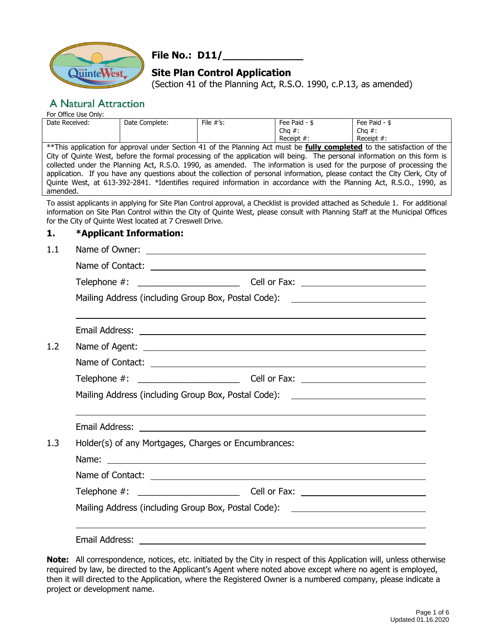

# **File No.: D11/\_\_\_\_\_\_\_\_\_\_\_\_\_**

# **Site Plan Control Application**

(Section 41 of the Planning Act, R.S.O. 1990, c.P.13, as amended)

# **A Natural Attraction**

For Office Use Only:

| Date Received: | Date Complete: | File $#^{\prime}$ s: | Fee Paid -    | Fee Paid -    |
|----------------|----------------|----------------------|---------------|---------------|
|                |                |                      | Chq $#$ :     | Cha $#$ :     |
|                |                |                      | Receipt $#$ : | Receipt $#$ : |

\*\*This application for approval under Section 41 of the Planning Act must be **fully completed** to the satisfaction of the City of Quinte West, before the formal processing of the application will being. The personal information on this form is collected under the Planning Act, R.S.O. 1990, as amended. The information is used for the purpose of processing the application. If you have any questions about the collection of personal information, please contact the City Clerk, City of Quinte West, at 613-392-2841. \*Identifies required information in accordance with the Planning Act, R.S.O., 1990, as amended.

To assist applicants in applying for Site Plan Control approval, a Checklist is provided attached as Schedule 1. For additional information on Site Plan Control within the City of Quinte West, please consult with Planning Staff at the Municipal Offices for the City of Quinte West located at 7 Creswell Drive.

#### **1. \*Applicant Information:**

| 1.1 | Name of Owner:<br><u>and the contract of the contract of the contract of the contract of the contract of the contract of the contract of</u> |                                                                                                                                                                                                                               |  |  |  |  |
|-----|----------------------------------------------------------------------------------------------------------------------------------------------|-------------------------------------------------------------------------------------------------------------------------------------------------------------------------------------------------------------------------------|--|--|--|--|
|     |                                                                                                                                              |                                                                                                                                                                                                                               |  |  |  |  |
|     |                                                                                                                                              |                                                                                                                                                                                                                               |  |  |  |  |
|     | Mailing Address (including Group Box, Postal Code): \\equality__________________                                                             |                                                                                                                                                                                                                               |  |  |  |  |
|     |                                                                                                                                              | Email Address: National Address: National Address: National Address: National Address: National Address: National Address: National Address: National Address: National Address: National Address: National Address: National |  |  |  |  |
| 1.2 |                                                                                                                                              |                                                                                                                                                                                                                               |  |  |  |  |
|     |                                                                                                                                              |                                                                                                                                                                                                                               |  |  |  |  |
|     |                                                                                                                                              |                                                                                                                                                                                                                               |  |  |  |  |
|     | Mailing Address (including Group Box, Postal Code): \\equimententility Address (including Group Box, Postal Code):                           |                                                                                                                                                                                                                               |  |  |  |  |
|     |                                                                                                                                              |                                                                                                                                                                                                                               |  |  |  |  |
| 1.3 | Holder(s) of any Mortgages, Charges or Encumbrances:                                                                                         |                                                                                                                                                                                                                               |  |  |  |  |
|     |                                                                                                                                              |                                                                                                                                                                                                                               |  |  |  |  |
|     |                                                                                                                                              |                                                                                                                                                                                                                               |  |  |  |  |
|     |                                                                                                                                              |                                                                                                                                                                                                                               |  |  |  |  |
|     | Mailing Address (including Group Box, Postal Code): \\equality__________________                                                             |                                                                                                                                                                                                                               |  |  |  |  |
|     |                                                                                                                                              |                                                                                                                                                                                                                               |  |  |  |  |
|     |                                                                                                                                              |                                                                                                                                                                                                                               |  |  |  |  |
|     |                                                                                                                                              |                                                                                                                                                                                                                               |  |  |  |  |

**Note:** All correspondence, notices, etc. initiated by the City in respect of this Application will, unless otherwise required by law, be directed to the Applicant's Agent where noted above except where no agent is employed, then it will directed to the Application, where the Registered Owner is a numbered company, please indicate a project or development name.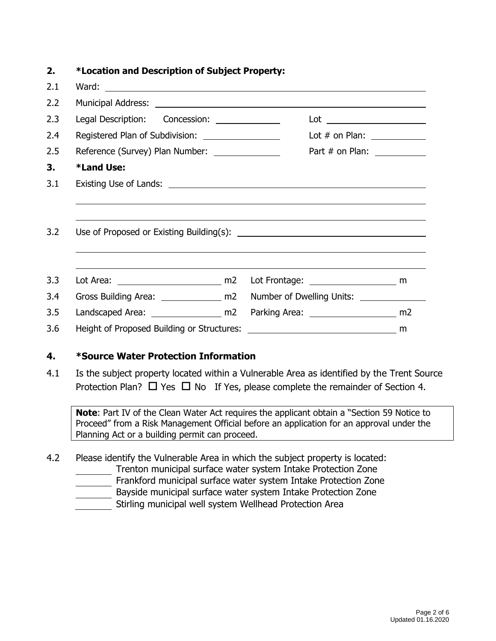| 2.  | *Location and Description of Subject Property:                                   |  |                             |  |
|-----|----------------------------------------------------------------------------------|--|-----------------------------|--|
| 2.1 |                                                                                  |  |                             |  |
| 2.2 |                                                                                  |  |                             |  |
| 2.3 | Legal Description: Concession: 2000                                              |  |                             |  |
| 2.4 | Registered Plan of Subdivision: __________________                               |  | Lot $#$ on Plan: $\sqrt{2}$ |  |
| 2.5 | Reference (Survey) Plan Number: ______________                                   |  |                             |  |
| 3.  | <b>*Land Use:</b>                                                                |  |                             |  |
| 3.1 |                                                                                  |  |                             |  |
|     |                                                                                  |  |                             |  |
| 3.2 |                                                                                  |  |                             |  |
|     |                                                                                  |  |                             |  |
| 3.3 |                                                                                  |  |                             |  |
| 3.4 | Gross Building Area: ________________ m2 Number of Dwelling Units: _____________ |  |                             |  |
| 3.5 |                                                                                  |  |                             |  |
| 3.6 |                                                                                  |  |                             |  |
|     |                                                                                  |  |                             |  |

### **4. \*Source Water Protection Information**

4.1 Is the subject property located within a Vulnerable Area as identified by the Trent Source Protection Plan?  $\Box$  Yes  $\Box$  No If Yes, please complete the remainder of Section 4.

**Note**: Part IV of the Clean Water Act requires the applicant obtain a "Section 59 Notice to Proceed" from a Risk Management Official before an application for an approval under the Planning Act or a building permit can proceed.

4.2 Please identify the Vulnerable Area in which the subject property is located:

- Trenton municipal surface water system Intake Protection Zone
- Frankford municipal surface water system Intake Protection Zone
- Bayside municipal surface water system Intake Protection Zone
- Stirling municipal well system Wellhead Protection Area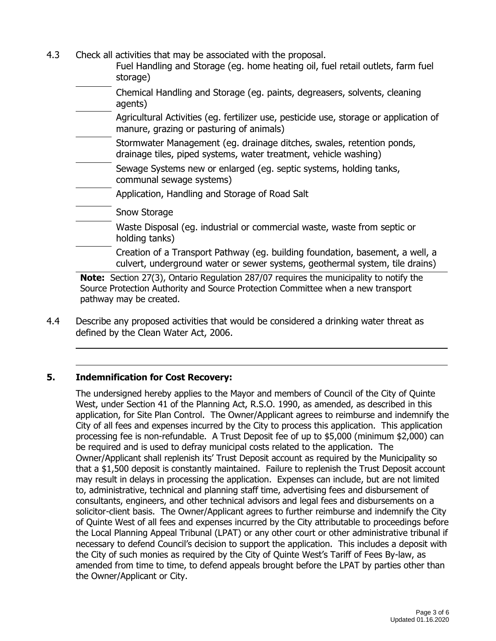- 4.3 Check all activities that may be associated with the proposal.
	- Fuel Handling and Storage (eg. home heating oil, fuel retail outlets, farm fuel storage)
	- Chemical Handling and Storage (eg. paints, degreasers, solvents, cleaning agents)
	- Agricultural Activities (eg. fertilizer use, pesticide use, storage or application of manure, grazing or pasturing of animals)
	- Stormwater Management (eg. drainage ditches, swales, retention ponds, drainage tiles, piped systems, water treatment, vehicle washing)
	- Sewage Systems new or enlarged (eg. septic systems, holding tanks, communal sewage systems)
	- Application, Handling and Storage of Road Salt
	- Snow Storage
	- Waste Disposal (eg. industrial or commercial waste, waste from septic or holding tanks)
		- Creation of a Transport Pathway (eg. building foundation, basement, a well, a culvert, underground water or sewer systems, geothermal system, tile drains)

**Note:** Section 27(3), Ontario Regulation 287/07 requires the municipality to notify the Source Protection Authority and Source Protection Committee when a new transport pathway may be created.

4.4 Describe any proposed activities that would be considered a drinking water threat as defined by the Clean Water Act, 2006.

### **5. Indemnification for Cost Recovery:**

The undersigned hereby applies to the Mayor and members of Council of the City of Quinte West, under Section 41 of the Planning Act, R.S.O. 1990, as amended, as described in this application, for Site Plan Control. The Owner/Applicant agrees to reimburse and indemnify the City of all fees and expenses incurred by the City to process this application. This application processing fee is non-refundable. A Trust Deposit fee of up to \$5,000 (minimum \$2,000) can be required and is used to defray municipal costs related to the application. The Owner/Applicant shall replenish its' Trust Deposit account as required by the Municipality so that a \$1,500 deposit is constantly maintained. Failure to replenish the Trust Deposit account may result in delays in processing the application. Expenses can include, but are not limited to, administrative, technical and planning staff time, advertising fees and disbursement of consultants, engineers, and other technical advisors and legal fees and disbursements on a solicitor-client basis. The Owner/Applicant agrees to further reimburse and indemnify the City of Quinte West of all fees and expenses incurred by the City attributable to proceedings before the Local Planning Appeal Tribunal (LPAT) or any other court or other administrative tribunal if necessary to defend Council's decision to support the application. This includes a deposit with the City of such monies as required by the City of Quinte West's Tariff of Fees By-law, as amended from time to time, to defend appeals brought before the LPAT by parties other than the Owner/Applicant or City.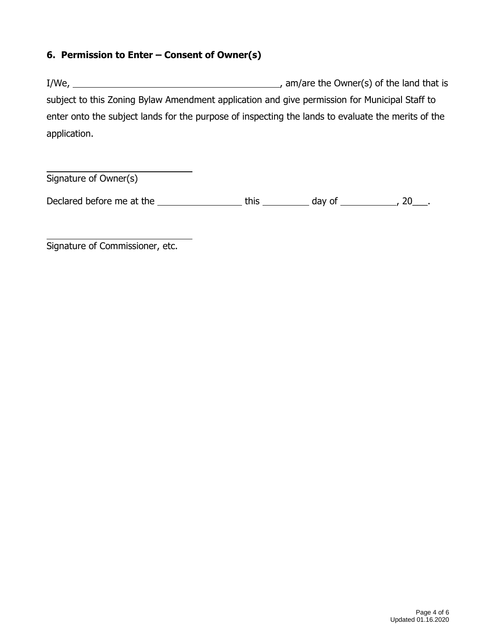### **6. Permission to Enter – Consent of Owner(s)**

I/We, , am/are the Owner(s) of the land that is subject to this Zoning Bylaw Amendment application and give permission for Municipal Staff to enter onto the subject lands for the purpose of inspecting the lands to evaluate the merits of the application.

Signature of Owner(s)

Declared before me at the  $\frac{1}{\sqrt{2\pi}}$  this  $\frac{1}{\sqrt{2\pi}}$  day of  $\frac{1}{\sqrt{2\pi}}$ , 20 $\frac{1}{\sqrt{2\pi}}$ .

Signature of Commissioner, etc.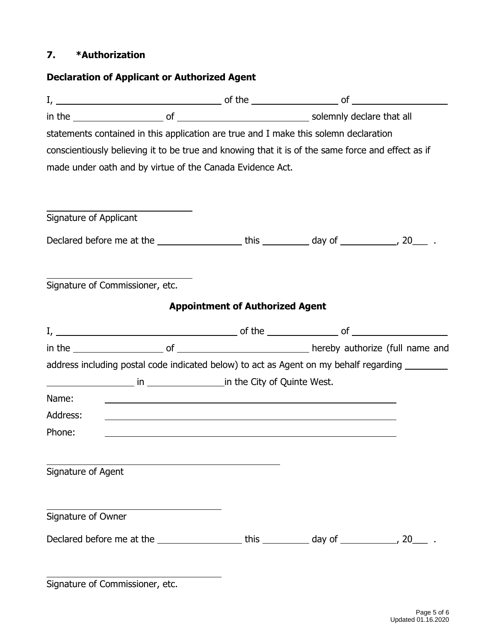### **7. \*Authorization**

|                                                                                                                                | <b>Declaration of Applicant or Authorized Agent</b> |  |
|--------------------------------------------------------------------------------------------------------------------------------|-----------------------------------------------------|--|
|                                                                                                                                |                                                     |  |
|                                                                                                                                |                                                     |  |
| statements contained in this application are true and I make this solemn declaration                                           |                                                     |  |
| conscientiously believing it to be true and knowing that it is of the same force and effect as if                              |                                                     |  |
| made under oath and by virtue of the Canada Evidence Act.                                                                      |                                                     |  |
|                                                                                                                                |                                                     |  |
| Signature of Applicant                                                                                                         |                                                     |  |
| Declared before me at the ______________________this ______________ day of _____________, 20______.                            |                                                     |  |
| Signature of Commissioner, etc.                                                                                                |                                                     |  |
|                                                                                                                                | <b>Appointment of Authorized Agent</b>              |  |
|                                                                                                                                |                                                     |  |
|                                                                                                                                |                                                     |  |
| address including postal code indicated below) to act as Agent on my behalf regarding _________                                |                                                     |  |
| in the City of Quinte West.                                                                                                    |                                                     |  |
| Name:<br><u> 1999 - Johann Harry Harry Harry Harry Harry Harry Harry Harry Harry Harry Harry Harry Harry Harry Harry Harry</u> |                                                     |  |
|                                                                                                                                |                                                     |  |
|                                                                                                                                |                                                     |  |
| Phone:                                                                                                                         |                                                     |  |
|                                                                                                                                |                                                     |  |
|                                                                                                                                |                                                     |  |
|                                                                                                                                |                                                     |  |
| Signature of Owner                                                                                                             |                                                     |  |
| Address:<br>Signature of Agent                                                                                                 |                                                     |  |

Signature of Commissioner, etc.